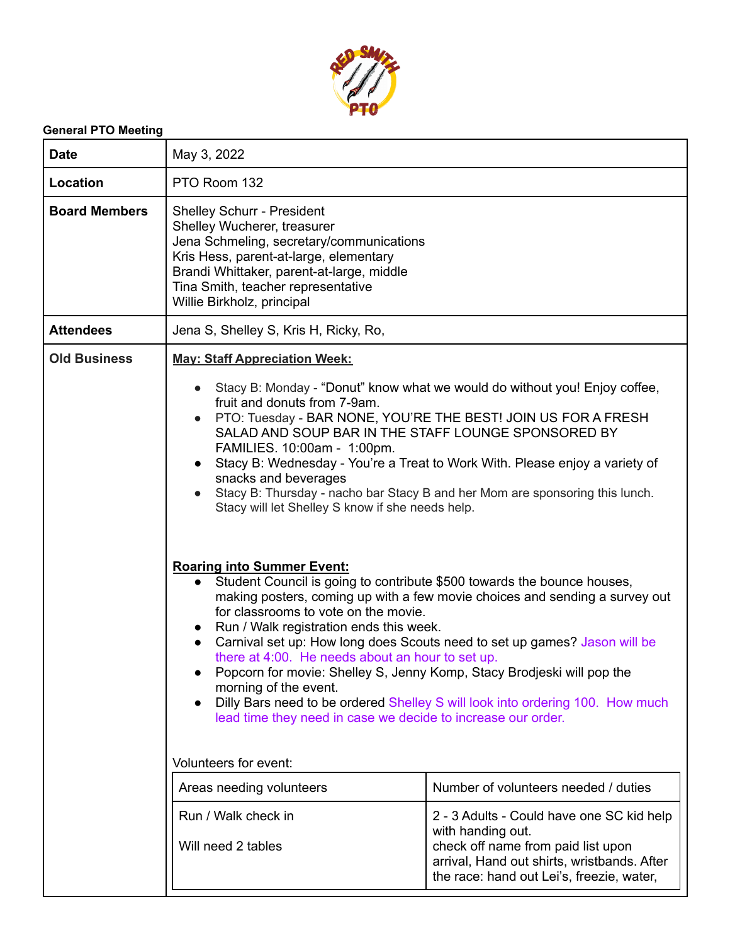

## **General PTO Meeting**

| <b>Date</b>          | May 3, 2022                                                                                                                                                                                                                                                                                                                                                                                                                                                                                                                                                                                                                                                                                                                                                                                                                                                                                                                                                                                                                                                                                                                                                                                                                                                                                                                           |                                                                                                                                |  |  |  |
|----------------------|---------------------------------------------------------------------------------------------------------------------------------------------------------------------------------------------------------------------------------------------------------------------------------------------------------------------------------------------------------------------------------------------------------------------------------------------------------------------------------------------------------------------------------------------------------------------------------------------------------------------------------------------------------------------------------------------------------------------------------------------------------------------------------------------------------------------------------------------------------------------------------------------------------------------------------------------------------------------------------------------------------------------------------------------------------------------------------------------------------------------------------------------------------------------------------------------------------------------------------------------------------------------------------------------------------------------------------------|--------------------------------------------------------------------------------------------------------------------------------|--|--|--|
| Location             | PTO Room 132                                                                                                                                                                                                                                                                                                                                                                                                                                                                                                                                                                                                                                                                                                                                                                                                                                                                                                                                                                                                                                                                                                                                                                                                                                                                                                                          |                                                                                                                                |  |  |  |
| <b>Board Members</b> | <b>Shelley Schurr - President</b><br>Shelley Wucherer, treasurer<br>Jena Schmeling, secretary/communications<br>Kris Hess, parent-at-large, elementary<br>Brandi Whittaker, parent-at-large, middle<br>Tina Smith, teacher representative<br>Willie Birkholz, principal                                                                                                                                                                                                                                                                                                                                                                                                                                                                                                                                                                                                                                                                                                                                                                                                                                                                                                                                                                                                                                                               |                                                                                                                                |  |  |  |
| <b>Attendees</b>     | Jena S, Shelley S, Kris H, Ricky, Ro,                                                                                                                                                                                                                                                                                                                                                                                                                                                                                                                                                                                                                                                                                                                                                                                                                                                                                                                                                                                                                                                                                                                                                                                                                                                                                                 |                                                                                                                                |  |  |  |
| <b>Old Business</b>  | <b>May: Staff Appreciation Week:</b><br>Stacy B: Monday - "Donut" know what we would do without you! Enjoy coffee,<br>fruit and donuts from 7-9am.<br>PTO: Tuesday - BAR NONE, YOU'RE THE BEST! JOIN US FOR A FRESH<br>SALAD AND SOUP BAR IN THE STAFF LOUNGE SPONSORED BY<br>FAMILIES. 10:00am - 1:00pm.<br>Stacy B: Wednesday - You're a Treat to Work With. Please enjoy a variety of<br>snacks and beverages<br>Stacy B: Thursday - nacho bar Stacy B and her Mom are sponsoring this lunch.<br>Stacy will let Shelley S know if she needs help.<br><b>Roaring into Summer Event:</b><br>Student Council is going to contribute \$500 towards the bounce houses,<br>$\bullet$<br>making posters, coming up with a few movie choices and sending a survey out<br>for classrooms to vote on the movie.<br>Run / Walk registration ends this week.<br>Carnival set up: How long does Scouts need to set up games? Jason will be<br>there at 4:00. He needs about an hour to set up.<br>Popcorn for movie: Shelley S, Jenny Komp, Stacy Brodjeski will pop the<br>morning of the event.<br>Dilly Bars need to be ordered Shelley S will look into ordering 100. How much<br>lead time they need in case we decide to increase our order.<br>Volunteers for event:<br>Number of volunteers needed / duties<br>Areas needing volunteers |                                                                                                                                |  |  |  |
|                      | Will need 2 tables                                                                                                                                                                                                                                                                                                                                                                                                                                                                                                                                                                                                                                                                                                                                                                                                                                                                                                                                                                                                                                                                                                                                                                                                                                                                                                                    | check off name from paid list upon<br>arrival, Hand out shirts, wristbands. After<br>the race: hand out Lei's, freezie, water, |  |  |  |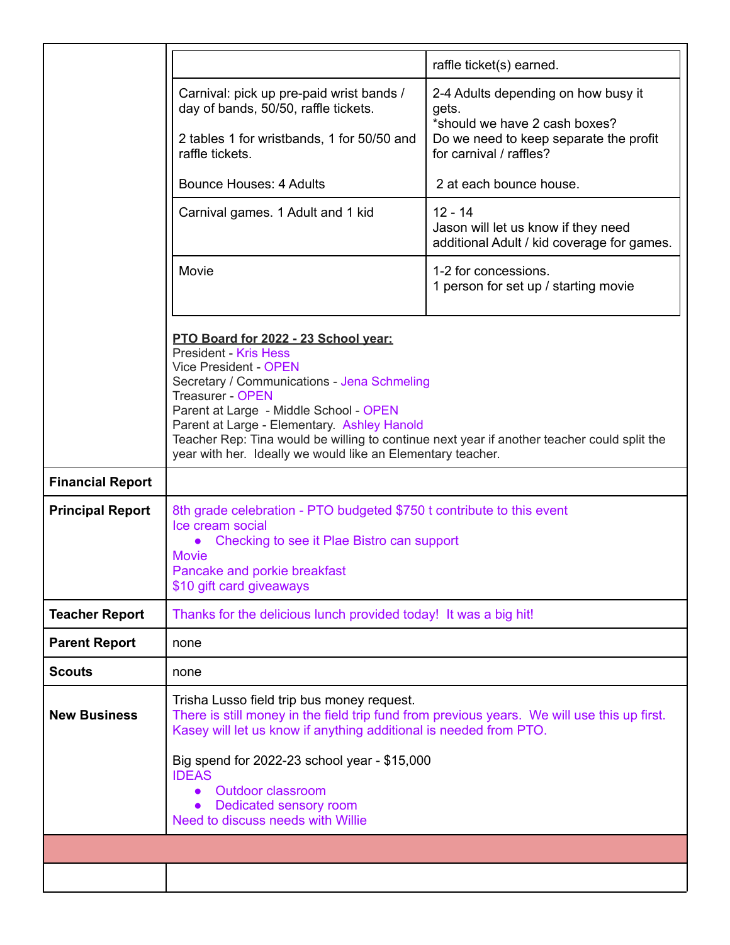|                         |                                                                                                                                                                                                                                                                                                                                                                                                                                       | raffle ticket(s) earned.                                                                                                                                                                                                                                       |  |  |  |  |  |
|-------------------------|---------------------------------------------------------------------------------------------------------------------------------------------------------------------------------------------------------------------------------------------------------------------------------------------------------------------------------------------------------------------------------------------------------------------------------------|----------------------------------------------------------------------------------------------------------------------------------------------------------------------------------------------------------------------------------------------------------------|--|--|--|--|--|
|                         | Carnival: pick up pre-paid wrist bands /<br>day of bands, 50/50, raffle tickets.                                                                                                                                                                                                                                                                                                                                                      | 2-4 Adults depending on how busy it<br>gets.<br>*should we have 2 cash boxes?                                                                                                                                                                                  |  |  |  |  |  |
|                         | 2 tables 1 for wristbands, 1 for 50/50 and<br>raffle tickets.                                                                                                                                                                                                                                                                                                                                                                         | Do we need to keep separate the profit<br>for carnival / raffles?<br>2 at each bounce house.<br>$12 - 14$<br>Jason will let us know if they need<br>additional Adult / kid coverage for games.<br>1-2 for concessions.<br>1 person for set up / starting movie |  |  |  |  |  |
|                         | <b>Bounce Houses: 4 Adults</b>                                                                                                                                                                                                                                                                                                                                                                                                        |                                                                                                                                                                                                                                                                |  |  |  |  |  |
|                         | Carnival games. 1 Adult and 1 kid                                                                                                                                                                                                                                                                                                                                                                                                     |                                                                                                                                                                                                                                                                |  |  |  |  |  |
|                         | Movie                                                                                                                                                                                                                                                                                                                                                                                                                                 |                                                                                                                                                                                                                                                                |  |  |  |  |  |
|                         | PTO Board for 2022 - 23 School year:<br><b>President - Kris Hess</b><br><b>Vice President - OPEN</b><br>Secretary / Communications - Jena Schmeling<br><b>Treasurer - OPEN</b><br>Parent at Large - Middle School - OPEN<br>Parent at Large - Elementary. Ashley Hanold<br>Teacher Rep: Tina would be willing to continue next year if another teacher could split the<br>year with her. Ideally we would like an Elementary teacher. |                                                                                                                                                                                                                                                                |  |  |  |  |  |
|                         |                                                                                                                                                                                                                                                                                                                                                                                                                                       |                                                                                                                                                                                                                                                                |  |  |  |  |  |
| <b>Financial Report</b> |                                                                                                                                                                                                                                                                                                                                                                                                                                       |                                                                                                                                                                                                                                                                |  |  |  |  |  |
| <b>Principal Report</b> | 8th grade celebration - PTO budgeted \$750 t contribute to this event<br>Ice cream social<br>Checking to see it Plae Bistro can support<br>Movie<br>Pancake and porkie breakfast<br>\$10 gift card giveaways                                                                                                                                                                                                                          |                                                                                                                                                                                                                                                                |  |  |  |  |  |
| <b>Teacher Report</b>   | Thanks for the delicious lunch provided today! It was a big hit!                                                                                                                                                                                                                                                                                                                                                                      |                                                                                                                                                                                                                                                                |  |  |  |  |  |
| <b>Parent Report</b>    | none                                                                                                                                                                                                                                                                                                                                                                                                                                  |                                                                                                                                                                                                                                                                |  |  |  |  |  |
| <b>Scouts</b>           | none                                                                                                                                                                                                                                                                                                                                                                                                                                  |                                                                                                                                                                                                                                                                |  |  |  |  |  |
| <b>New Business</b>     | Trisha Lusso field trip bus money request.<br>There is still money in the field trip fund from previous years. We will use this up first.<br>Kasey will let us know if anything additional is needed from PTO.                                                                                                                                                                                                                        |                                                                                                                                                                                                                                                                |  |  |  |  |  |
|                         | Big spend for 2022-23 school year - \$15,000<br><b>IDEAS</b><br><b>Outdoor classroom</b><br>Dedicated sensory room<br>Need to discuss needs with Willie                                                                                                                                                                                                                                                                               |                                                                                                                                                                                                                                                                |  |  |  |  |  |
|                         |                                                                                                                                                                                                                                                                                                                                                                                                                                       |                                                                                                                                                                                                                                                                |  |  |  |  |  |
|                         |                                                                                                                                                                                                                                                                                                                                                                                                                                       |                                                                                                                                                                                                                                                                |  |  |  |  |  |